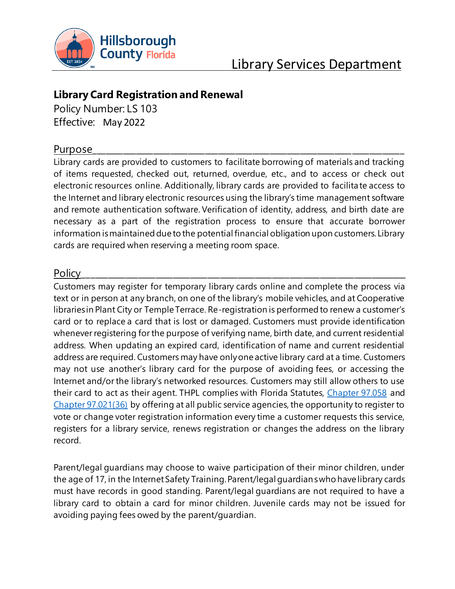

# Library Services Department

## **Library Card Registration and Renewal**

Policy Number: LS 103 Effective: May 2022

## Purpose\_\_\_\_\_\_\_\_\_\_\_\_\_\_\_\_\_\_\_\_\_\_\_\_\_\_\_\_\_\_\_\_\_\_\_\_\_\_\_\_\_\_\_\_\_\_\_\_\_\_\_\_\_\_\_\_\_\_\_\_\_\_\_\_\_\_\_\_\_\_\_\_

Library cards are provided to customers to facilitate borrowing of materials and tracking of items requested, checked out, returned, overdue, etc., and to access or check out electronic resources online. Additionally, library cards are provided to facilitate access to the Internet and library electronic resources using the library's time management software and remote authentication software. Verification of identity, address, and birth date are necessary as a part of the registration process to ensure that accurate borrower information is maintained due to the potential financial obligation upon customers. Library cards are required when reserving a meeting room space.

## Policy\_\_\_\_\_\_\_\_\_\_\_\_\_\_\_\_\_\_\_\_\_\_\_\_\_\_\_\_\_\_\_\_\_\_\_\_\_\_\_\_\_\_\_\_\_\_\_\_\_\_\_\_\_\_\_\_\_\_\_\_\_\_\_\_\_\_\_\_\_\_\_\_\_\_\_

Customers may register for temporary library cards online and complete the process via text or in person at any branch, on one of the library's mobile vehicles, and at Cooperative libraries in Plant City or Temple Terrace. Re-registration is performed to renew a customer's card or to replace a card that is lost or damaged. Customers must provide identification whenever registering for the purpose of verifying name, birth date, and current residential address. When updating an expired card, identification of name and current residential address are required. Customers may have only one active library card at a time. Customers may not use another's library card for the purpose of avoiding fees, or accessing the Internet and/or the library's networked resources. Customers may still allow others to use their card to act as their agent. THPL complies with Florida Statutes, [Chapter 97.058](http://www.leg.state.fl.us/statutes/index.cfm?App_mode=Display_Statute&Search_String=&URL=0000-0099/0097/Sections/0097.058.html) and [Chapter 97.021\(36\)](http://www.leg.state.fl.us/statutes/index.cfm?App_mode=Display_Statute&Search_String=&URL=0000-0099/0097/Sections/0097.021.html) by offering at all public service agencies, the opportunity to register to vote or change voter registration information every time a customer requests this service, registers for a library service, renews registration or changes the address on the library record.

Parent/legal guardians may choose to waive participation of their minor children, under the age of 17, in the Internet Safety Training. Parent/legal guardians who have library cards must have records in good standing. Parent/legal guardians are not required to have a library card to obtain a card for minor children. Juvenile cards may not be issued for avoiding paying fees owed by the parent/guardian.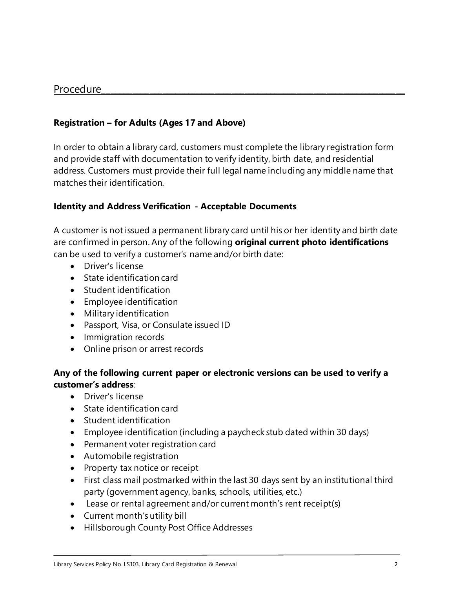#### Procedure

#### **Registration – for Adults (Ages 17 and Above)**

In order to obtain a library card, customers must complete the library registration form and provide staff with documentation to verify identity, birth date, and residential address. Customers must provide their full legal name including any middle name that matches their identification.

#### **Identity and Address Verification - Acceptable Documents**

A customer is not issued a permanent library card until his or her identity and birth date are confirmed in person. Any of the following **original current photo identifications**  can be used to verify a customer's name and/or birth date:

- Driver's license
- State identification card
- Student identification
- Employee identification
- Military identification
- Passport, Visa, or Consulate issued ID
- Immigration records
- Online prison or arrest records

#### **Any of the following current paper or electronic versions can be used to verify a customer's address**:

- Driver's license
- State identification card
- Student identification
- Employee identification (including a paycheck stub dated within 30 days)
- Permanent voter registration card
- Automobile registration
- Property tax notice or receipt
- First class mail postmarked within the last 30 days sent by an institutional third party (government agency, banks, schools, utilities, etc.)
- Lease or rental agreement and/or current month's rent receipt(s)
- Current month's utility bill
- Hillsborough County Post Office Addresses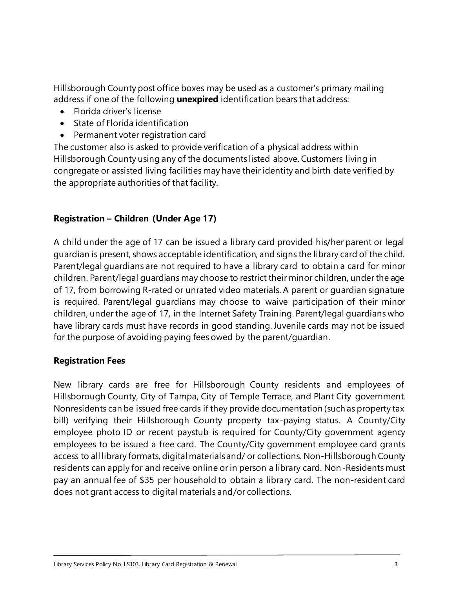Hillsborough County post office boxes may be used as a customer's primary mailing address if one of the following **unexpired** identification bears that address:

- Florida driver's license
- State of Florida identification
- Permanent voter registration card

The customer also is asked to provide verification of a physical address within Hillsborough County using any of the documents listed above. Customers living in congregate or assisted living facilities may have their identity and birth date verified by the appropriate authorities of that facility.

## **Registration – Children (Under Age 17)**

A child under the age of 17 can be issued a library card provided his/her parent or legal guardian is present, shows acceptable identification, and signs the library card of the child. Parent/legal guardians are not required to have a library card to obtain a card for minor children. Parent/legal guardians may choose to restrict their minor children, under the age of 17, from borrowing R-rated or unrated video materials. A parent or guardian signature is required. Parent/legal guardians may choose to waive participation of their minor children, under the age of 17, in the Internet Safety Training. Parent/legal guardians who have library cards must have records in good standing. Juvenile cards may not be issued for the purpose of avoiding paying fees owed by the parent/guardian.

### **Registration Fees**

New library cards are free for Hillsborough County residents and employees of Hillsborough County, City of Tampa, City of Temple Terrace, and Plant City government. Nonresidents can be issued free cards if they provide documentation (such as property tax bill) verifying their Hillsborough County property tax-paying status. A County/City employee photo ID or recent paystub is required for County/City government agency employees to be issued a free card. The County/City government employee card grants access to all library formats, digital materials and/ or collections. Non-Hillsborough County residents can apply for and receive online or in person a library card. Non-Residents must pay an annual fee of \$35 per household to obtain a library card. The non-resident card does not grant access to digital materials and/or collections.